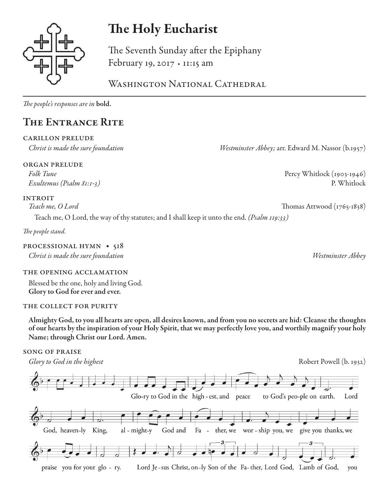

# The Holy Eucharist

The Seventh Sunday after the Epiphany February 19, 2017 • 11:15 am

WASHINGTON NATIONAL CATHEDRAL

*The people's responses are in* bold.

## The Entrance Rite

### carillon prelude

organ prelude

INTROIT<br>Teach me, O Lord

Teach me, O Lord, the way of thy statutes; and I shall keep it unto the end. *(Psalm 119:33)*

*The people stand.* 

### PROCESSIONAL HYMN • 518

*Christ is made the sure foundation Westminster Abbey*

### the opening acclamation

Blessed be the one, holy and living God. Glory to God for ever and ever.

### THE COLLECT FOR PURITY

Almighty God, to you all hearts are open, all desires known, and from you no secrets are hid: Cleanse the thoughts of our hearts by the inspiration of your Holy Spirit, that we may perfectly love you, and worthily magnify your holy Name; through Christ our Lord. Amen.

### song of praise

*Glory to God in the highest* **Robert Powell (b. 1932)** Robert Powell (b. 1932)



*Christ is made the sure foundation Westminster Abbey;* arr. Edward M. Nassor (b.1957)

*Folk Tune* Percy Whitlock (1903-1946) *Exultemus (Psalm 81:1-3)* P. Whitlock

*Teach me, O Lord* Thomas Attwood (1765-1838)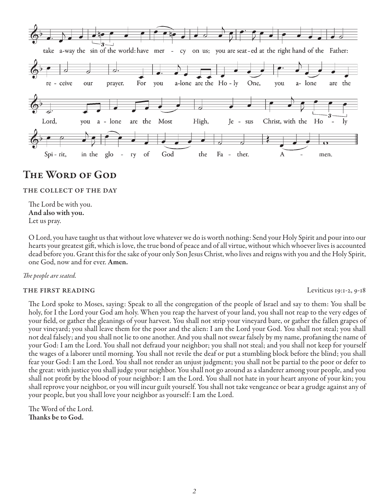

### The Word of God

#### the collect of the day

The Lord be with you. And also with you. Let us pray.

O Lord, you have taught us that without love whatever we do is worth nothing: Send your Holy Spirit and pour into our hearts your greatest gift, which is love, the true bond of peace and of all virtue, without which whoever lives is accounted dead before you. Grant this for the sake of your only Son Jesus Christ, who lives and reigns with you and the Holy Spirit, one God, now and for ever. Amen.

#### *The people are seated.*

#### THE FIRST READING Leviticus 19:1-2, 9-18

The Lord spoke to Moses, saying: Speak to all the congregation of the people of Israel and say to them: You shall be holy, for I the Lord your God am holy. When you reap the harvest of your land, you shall not reap to the very edges of your field, or gather the gleanings of your harvest. You shall not strip your vineyard bare, or gather the fallen grapes of your vineyard; you shall leave them for the poor and the alien: I am the Lord your God. You shall not steal; you shall not deal falsely; and you shall not lie to one another. And you shall not swear falsely by my name, profaning the name of your God: I am the Lord. You shall not defraud your neighbor; you shall not steal; and you shall not keep for yourself the wages of a laborer until morning. You shall not revile the deaf or put a stumbling block before the blind; you shall fear your God: I am the Lord. You shall not render an unjust judgment; you shall not be partial to the poor or defer to the great: with justice you shall judge your neighbor. You shall not go around as a slanderer among your people, and you shall not profit by the blood of your neighbor: I am the Lord. You shall not hate in your heart anyone of your kin; you shall reprove your neighbor, or you will incur guilt yourself. You shall not take vengeance or bear a grudge against any of your people, but you shall love your neighbor as yourself: I am the Lord.

The Word of the Lord. Thanks be to God.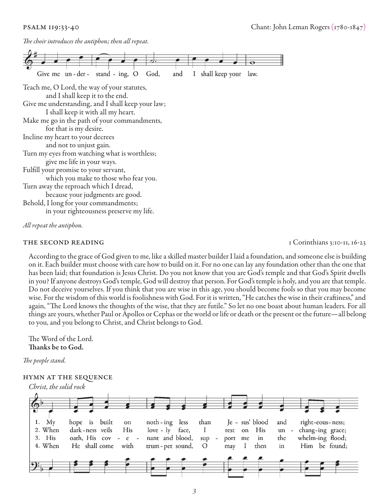*The choir introduces the antiphon; then all repeat.* 



*All repeat the antiphon.* 

#### THE SECOND READING THE SECOND READING

According to the grace of God given to me, like a skilled master builder I laid a foundation, and someone else is building on it. Each builder must choose with care how to build on it. For no one can lay any foundation other than the one that has been laid; that foundation is Jesus Christ. Do you not know that you are God's temple and that God's Spirit dwells in you? If anyone destroys God's temple, God will destroy that person. For God's temple is holy, and you are that temple. Do not deceive yourselves. If you think that you are wise in this age, you should become fools so that you may become wise. For the wisdom of this world is foolishness with God. For it is written, "He catches the wise in their craftiness," and again, "The Lord knows the thoughts of the wise, that they are futile." So let no one boast about human leaders. For all things are yours, whether Paul or Apollos or Cephas or the world or life or death or the present or the future—all belong to you, and you belong to Christ, and Christ belongs to God.

The Word of the Lord. Thanks be to God.

*The people stand.*

#### hymn at the sequence

*Christ, the solid rock* 

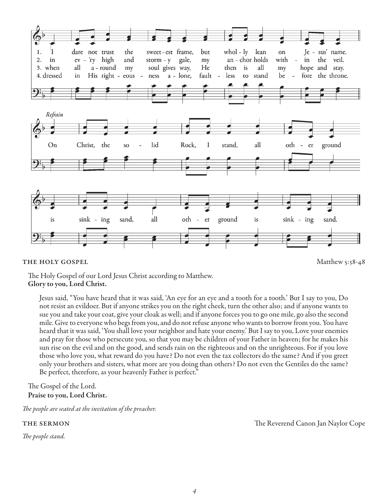

#### THE HOLY GOSPEL Matthew 5:38-48

The Holy Gospel of our Lord Jesus Christ according to Matthew. Glory to you, Lord Christ.

Jesus said, "You have heard that it was said, 'An eye for an eye and a tooth for a tooth.' But I say to you, Do not resist an evildoer. But if anyone strikes you on the right cheek, turn the other also; and if anyone wants to sue you and take your coat, give your cloak as well; and if anyone forces you to go one mile, go also the second mile. Give to everyone who begs from you, and do not refuse anyone who wants to borrow from you. You have heard that it was said, 'You shall love your neighbor and hate your enemy.' But I say to you, Love your enemies and pray for those who persecute you, so that you may be children of your Father in heaven; for he makes his sun rise on the evil and on the good, and sends rain on the righteous and on the unrighteous. For if you love those who love you, what reward do you have? Do not even the tax collectors do the same? And if you greet only your brothers and sisters, what more are you doing than others? Do not even the Gentiles do the same? Be perfect, therefore, as your heavenly Father is perfect."

#### The Gospel of the Lord. Praise to you, Lord Christ.

*The people are seated at the invitation of the preacher.*

*The people stand.*

the sermon The Reverend Canon Jan Naylor Cope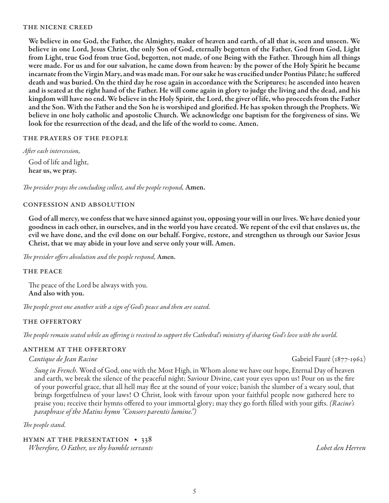#### the nicene creed

We believe in one God, the Father, the Almighty, maker of heaven and earth, of all that is, seen and unseen. We believe in one Lord, Jesus Christ, the only Son of God, eternally begotten of the Father, God from God, Light from Light, true God from true God, begotten, not made, of one Being with the Father. Through him all things were made. For us and for our salvation, he came down from heaven: by the power of the Holy Spirit he became incarnate from the Virgin Mary, and was made man. For our sake he was crucified under Pontius Pilate; he suffered death and was buried. On the third day he rose again in accordance with the Scriptures; he ascended into heaven and is seated at the right hand of the Father. He will come again in glory to judge the living and the dead, and his kingdom will have no end. We believe in the Holy Spirit, the Lord, the giver of life, who proceeds from the Father and the Son. With the Father and the Son he is worshiped and glorified. He has spoken through the Prophets. We believe in one holy catholic and apostolic Church. We acknowledge one baptism for the forgiveness of sins. We look for the resurrection of the dead, and the life of the world to come. Amen.

#### the prayers of the people

*After each intercession,* God of life and light, hear us, we pray.

*The presider prays the concluding collect, and the people respond,* Amen.

#### confession and absolution

God of all mercy, we confess that we have sinned against you, opposing your will in our lives. We have denied your goodness in each other, in ourselves, and in the world you have created. We repent of the evil that enslaves us, the evil we have done, and the evil done on our behalf. Forgive, restore, and strengthen us through our Savior Jesus Christ, that we may abide in your love and serve only your will. Amen.

*The presider offers absolution and the people respond,* Amen.

#### the peace

The peace of the Lord be always with you. And also with you.

*The people greet one another with a sign of God's peace and then are seated.*

#### the offertory

*The people remain seated while an offering is received to support the Cathedral's ministry of sharing God's love with the world.*

#### anthem at the offertory

#### *Cantique de Jean Racine* Gabriel Fauré (1877-1962)

*Sung in French.* Word of God, one with the Most High, in Whom alone we have our hope, Eternal Day of heaven and earth, we break the silence of the peaceful night; Saviour Divine, cast your eyes upon us! Pour on us the fire of your powerful grace, that all hell may flee at the sound of your voice; banish the slumber of a weary soul, that brings forgetfulness of your laws! O Christ, look with favour upon your faithful people now gathered here to praise you; receive their hymns offered to your immortal glory; may they go forth filled with your gifts. *(Racine's paraphrase of the Matins hymn "Consors parentis lumine.")*

#### *The people stand.*

#### hymn at the presentation • 338 *Wherefore, O Father, we thy humble servants Lobet den Herren*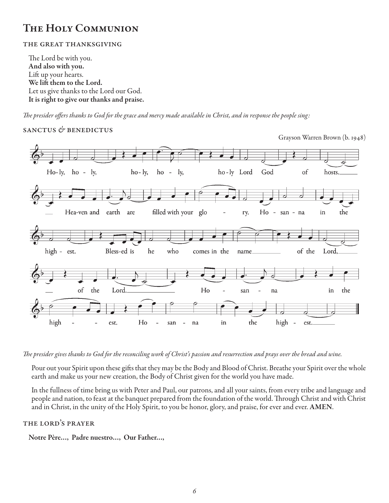### The Holy Communion

#### the great thanksgiving

The Lord be with you. And also with you. Lift up your hearts. We lift them to the Lord. Let us give thanks to the Lord our God. It is right to give our thanks and praise.

*The presider offers thanks to God for the grace and mercy made available in Christ, and in response the people sing:*

#### sanctus *&* benedictus



*The presider gives thanks to God for the reconciling work of Christ's passion and resurrection and prays over the bread and wine.*

Pour out your Spirit upon these gifts that they may be the Body and Blood of Christ. Breathe your Spirit over the whole earth and make us your new creation, the Body of Christ given for the world you have made.

In the fullness of time bring us with Peter and Paul, our patrons, and all your saints, from every tribe and language and people and nation, to feast at the banquet prepared from the foundation of the world. Through Christ and with Christ and in Christ, in the unity of the Holy Spirit, to you be honor, glory, and praise, for ever and ever. AMEN.

#### the lord's prayer

Notre Père…, Padre nuestro…, Our Father…,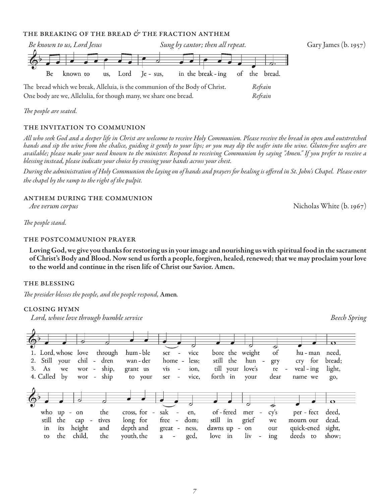#### the breaking of the bread *&* the fraction anthem



*The people are seated.* 

#### THE INVITATION TO COMMUNION

*All who seek God and a deeper life in Christ are welcome to receive Holy Communion. Please receive the bread in open and outstretched hands and sip the wine from the chalice, guiding it gently to your lips; or you may dip the wafer into the wine. Gluten-free wafers are available; please make your need known to the minister. Respond to receiving Communion by saying "Amen." If you prefer to receive a blessing instead, please indicate your choice by crossing your hands across your chest.* 

*During the administration of Holy Communion the laying on of hands and prayers for healing is offered in St. John's Chapel. Please enter the chapel by the ramp to the right of the pulpit.*

#### anthem during the communion

*The people stand.* 

#### the postcommunion prayer

Loving God, we give you thanks for restoring us in your image and nourishing us with spiritual food in the sacrament of Christ's Body and Blood. Now send us forth a people, forgiven, healed, renewed; that we may proclaim your love to the world and continue in the risen life of Christ our Savior. Amen.

#### the blessing

*The presider blesses the people, and the people respond,* Amen*.*

#### closing hymn

*Lord, whose love through humble service Beech Spring*



*Ave verum corpus* Nicholas White (b. 1967)